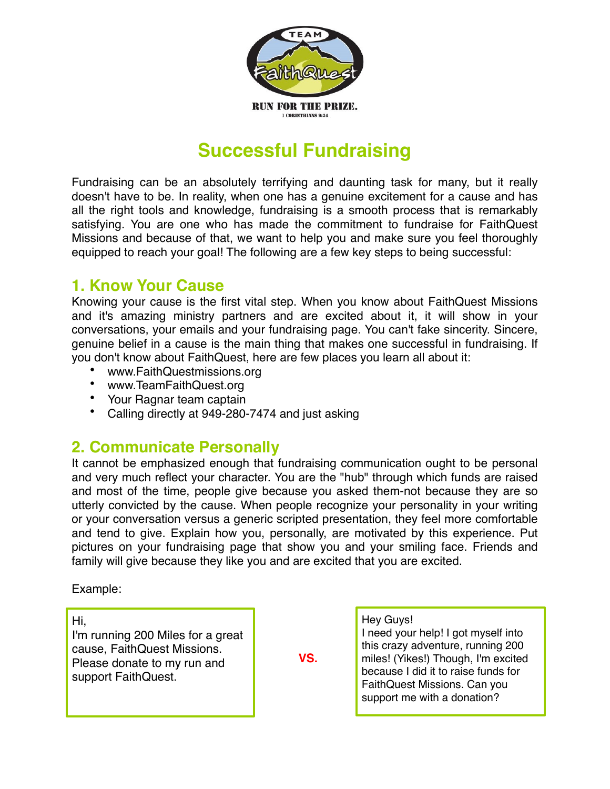

# **Successful Fundraising**

Fundraising can be an absolutely terrifying and daunting task for many, but it really doesn't have to be. In reality, when one has a genuine excitement for a cause and has all the right tools and knowledge, fundraising is a smooth process that is remarkably satisfying. You are one who has made the commitment to fundraise for FaithQuest Missions and because of that, we want to help you and make sure you feel thoroughly equipped to reach your goal! The following are a few key steps to being successful:

### **1. Know Your Cause**

Knowing your cause is the first vital step. When you know about FaithQuest Missions and it's amazing ministry partners and are excited about it, it will show in your conversations, your emails and your fundraising page. You can't fake sincerity. Sincere, genuine belief in a cause is the main thing that makes one successful in fundraising. If you don't know about FaithQuest, here are few places you learn all about it:

- www.FaithQuestmissions.org
- www.TeamFaithQuest.org
- Your Ragnar team captain
- Calling directly at 949-280-7474 and just asking

### **2. Communicate Personally**

It cannot be emphasized enough that fundraising communication ought to be personal and very much reflect your character. You are the "hub" through which funds are raised and most of the time, people give because you asked them-not because they are so utterly convicted by the cause. When people recognize your personality in your writing or your conversation versus a generic scripted presentation, they feel more comfortable and tend to give. Explain how you, personally, are motivated by this experience. Put pictures on your fundraising page that show you and your smiling face. Friends and family will give because they like you and are excited that you are excited.

Example:

Hi,

I'm running 200 Miles for a great cause, FaithQuest Missions. Please donate to my run and support FaithQuest.

 **VS.**

Hey Guys! I need your help! I got myself into this crazy adventure, running 200 miles! (Yikes!) Though, I'm excited because I did it to raise funds for FaithQuest Missions. Can you support me with a donation?